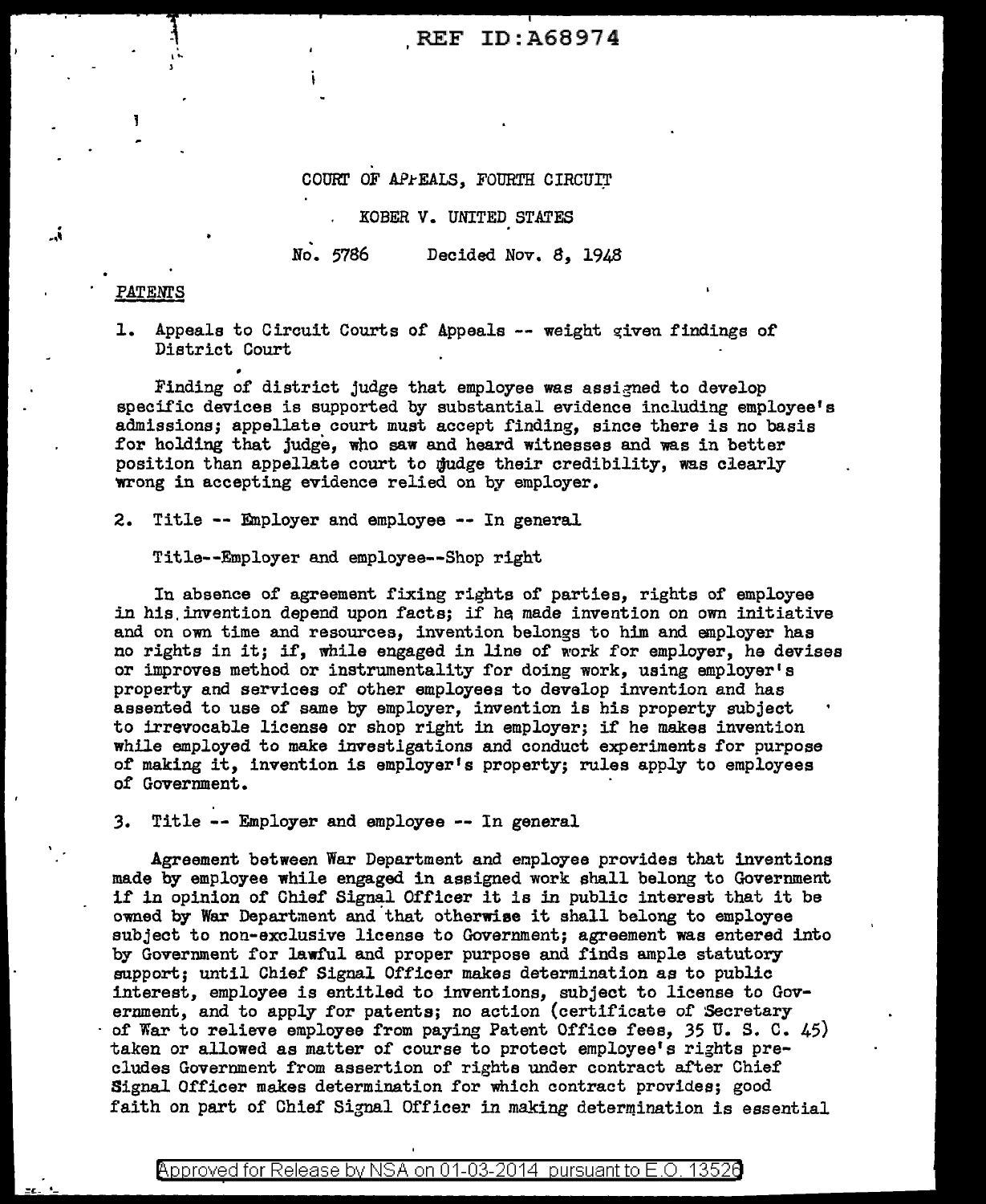# REF ID:A68974

#### COURT OF APPEALS, FOURTH CIRCUIT

### KOBER V. UNITED STATES

No. 5786 Decided Nov. 8, 1948

### PATENTS

أ..

, .. )

=c- •-

1. Appeals to Circuit Courts of Appeals -- weight given findings of District Court

Finding of district judge that employee was assigned to develop specific devices is supported by substantial evidence including employee's admissions; appellate court must accept finding, since there is no basis for holding that judge, who saw and heard witnesses and was in better position than appellate court to judge their credibility, was clearly wrong in accepting evidence relied on by employer.

2. Title -- Employer and employee -- In general

Title--Employer and employee--Shop right

In absence of agreement fixing rights of parties, rights of employee in his invention depend upon facts; if he made invention on own initiative and on own time and resources, invention belongs to him and employer has no rights in it; if, while engaged in line of work for employer, ha devises or improves method or instrumentality for doing work, using employer's property and services of other employees to develop invention and has assented to use of same by employer, invention is his property subject to irrevocable license or shop right in employer; if he makes invention while employed to make investigations and conduct experiments for purpose of making it, invention is employer's property; rules appiy to employees of Government.

*3.* Title -- Employer and employee -- In general

Agreement between War Department and employee provides that inventions made by employee while engaged in assigned work shall belong to Government if in opinion of Chief Signal Officer it is in public interest that it be owned by War Department and that otherwise it shall belong to employee subject to non-exclusive license to Government; agreement was entered into by Government for lawful and proper purpose and finds ample statutory support; until Chief Signal Officer makes determination as to public interest, employee is entitled to inventions, subject to license to Government, and to apply for patents; no action (certificate of Secretary of War to relieve employee from paying Patent Office fees, 35 U. S. C. 45) taken or allowed as matter of course to protect employee's rights precludes Government from assertion of rights under contract after Chief Signal Officer makes determination for which contract provides; good faith on part of Chief Signal Officer in making determination is essential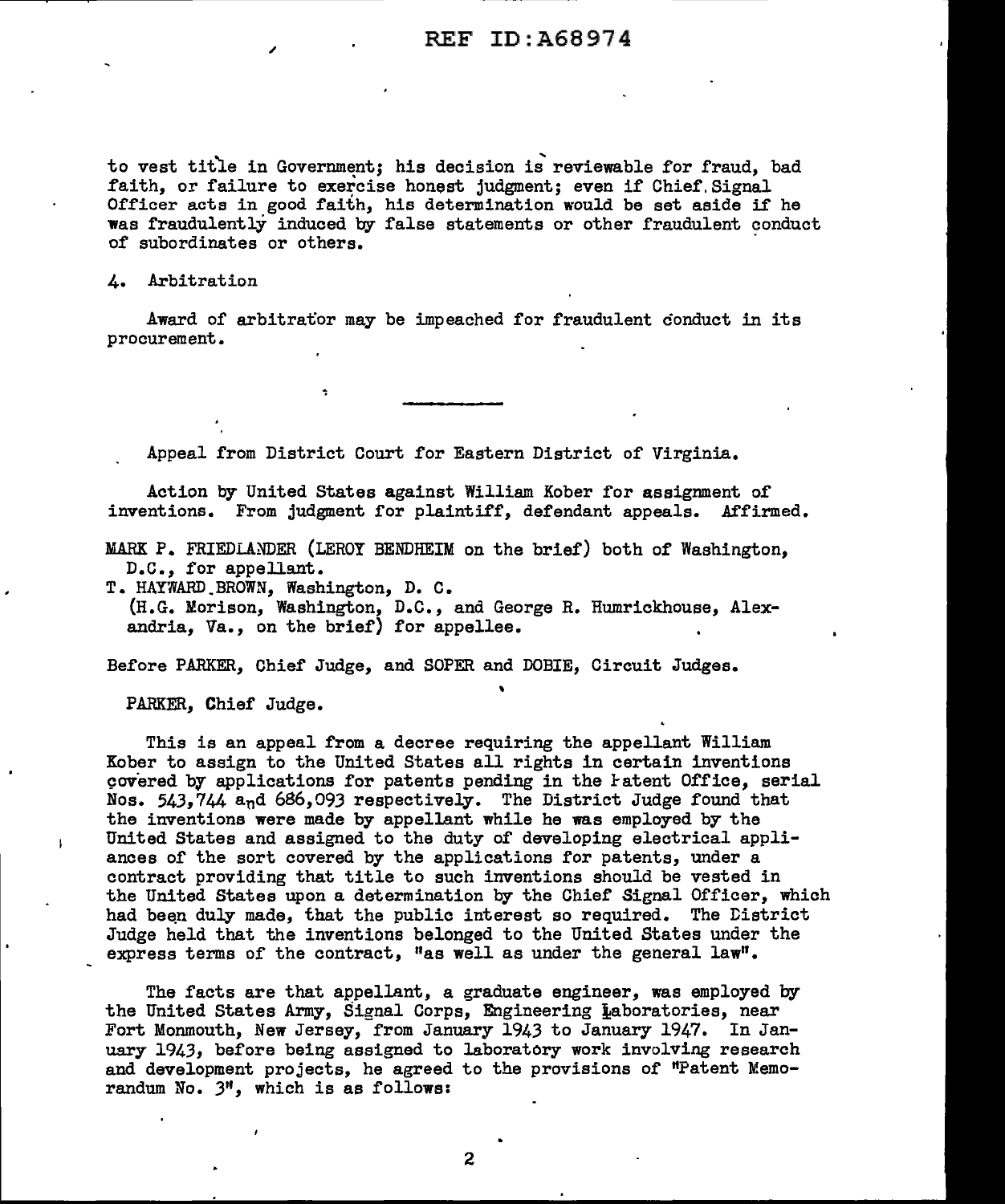to vest title in Government; his decision is reviewable for fraud, bad faith, or failure to exercise honest judgment; even if Chief Signal Officer acts in good faith, his determination would be set aside if he was fraudulently induced by false statements or other fraudulent conduct of subordinates or others.

4. Arbitration

Award of arbitrator may be impeached for fraudulent conduct in its procurement.

Appeal from District Court for Eastern District of Virginia.

Action by United States against William Kober for assignment of inventions. From judgment for plaintiff, defendant appeals. Affirmed.

MARK P. FRIEDLANDER (LEROY BENDHEIM on the brief) both of Washington, D.c., for appellant.

T. HAYWARD.BROWN, Washington, D. C. (H.G. Morison, Washington, D.C., and George R. Humrickhouse, Alexandria, Va., on the brief} for appellee.

Before PARKER, Chief Judge, and SOPER and DOBIE, Circuit Judges.

PARKER, Chief Judge.

This is an appeal from a decree requiring the appellant William Kober to assign to the United States all rights in certain inventions covered by applications for patents pending in the Fatent Office, serial Nos. 543,744 and 686,093 respectively. The District Judge found that the inventions were made by appellant while he was employed by the United States and assigned to the duty of developing electrical appliances of the sort covered by the applications for patents, under a contract providing that title to such inventions should be vested in the United States upon a determination by the Chief Signal Officer, which had been duly made, that the public interest so required. The District Judge held that the inventions belonged to the United States under the express terms of the contract, "as well as under the general  $law''$ .

The facts are that appellant, a graduate engineer, was employed by the United States Army, Signal Corps, Engineering Laboratories, near Fort Monmouth, New Jersey, from January 1943 to January 1947. In January 1943, before being assigned to laboratory work involving research and development projects, he agreed to the provisions of "Patent Memorandum No. 3", which is as follows: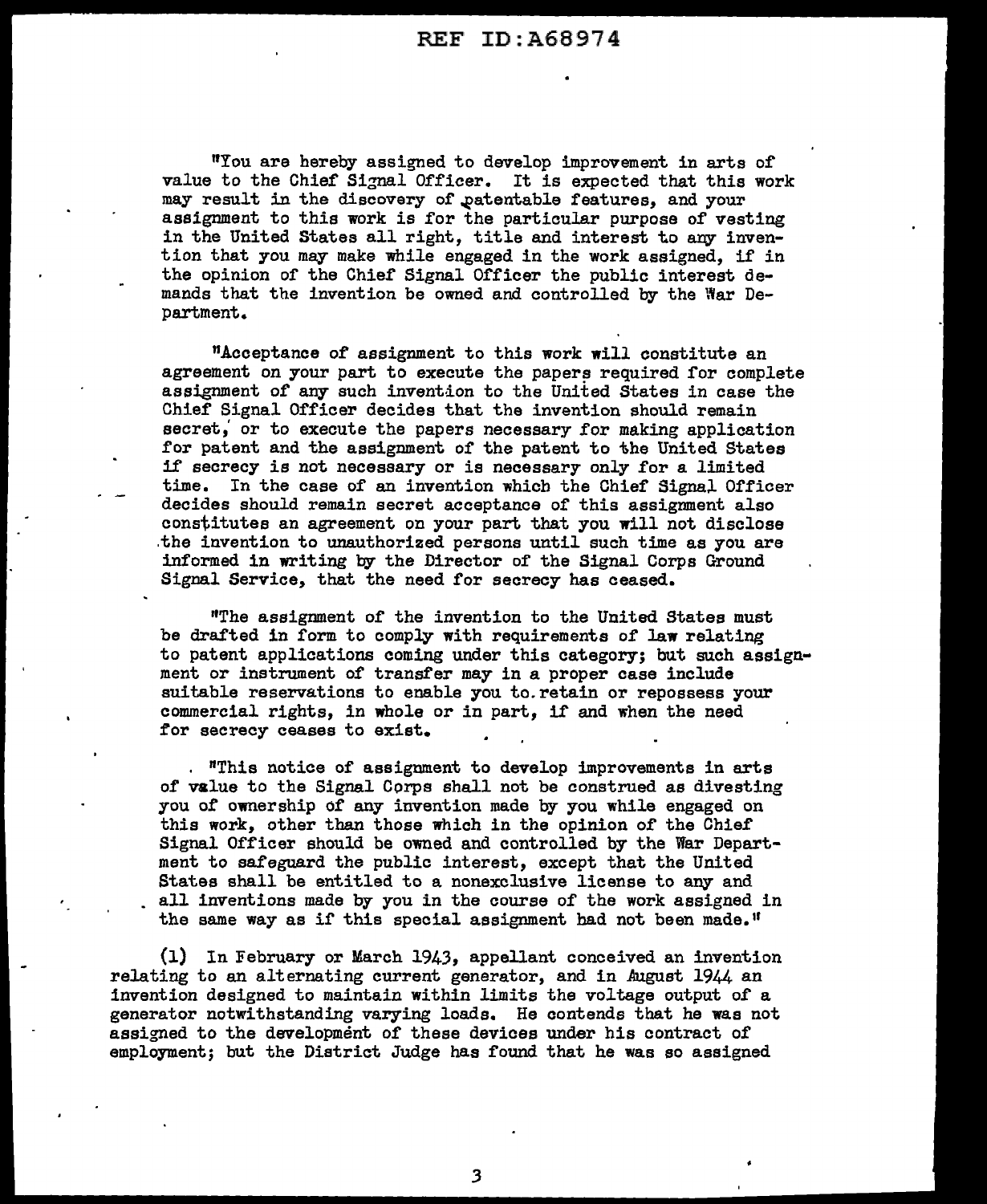REF ID:A68974

RYou are hereby assigned to develop improvement in arts of value to the Chief Signal Officer. It is expected that this work may result in the discovery of patentable features, and your assignment to this work is for the particular purpose of vesting in the United States all right, title and interest to any invention that you may make while engaged in the work assigned, if in the opinion of the Chief Signal Officer the public interest demands that the invention be owned and controlled by the War Department.

"Acceptance of assignment to this work will constitute an agreement on your part to execute the papers required for complete assignment of any such invention to the United States in case the Chief Signal Officer decides that the invention should remain secret, or to execute the papers necessary for making application for patent and the assignment of the patent to the United States if secrecy is not necessary or is necessary only for a limited time. In the case of an invention which the Chief Signal Officer decides should remain secret acceptance of this assignment also constitutes an agreement on your part that you will not disclose .the invention to unauthorized persons until such time as you are informed in writing by the Director of the Signal Corps Ground Signal Service, that the need for secrecy has ceased.

''The assignment of the invention to the United States must be drafted in form to comply with requirements of law relating to patent applications coming under this category; but such assign• ment or instrument of transfer may in a proper case include suitable reservations to enable you to.retain or repossess your commercial rights, in whole or in part, if and when the need for secrecy ceases to exist.

"This notice of assignment to develop improvements in arts of value to the Signal Corps shall not be construed as divesting you of ownership of any invention made by you while engaged on this work, other than those which in the opinion of the Chief Signal Officer should be owned and controlled by the War Department to safeguard the public interest, except that the United States shall be entitled to a nonexclusive license to any and all inventions made by you in the course of the work assigned in the same way as if this special assignment had not been made."

(1) In February or March 1943, appellant conceived an invention relating to an alternating current generator, and in August 1944 an invention designed to maintain within limits the voltage output of a generator notwithstanding varying loads. He contends that he was not assigned to the development of these devices under his contract of employment; but the District Judge has found that he was so assigned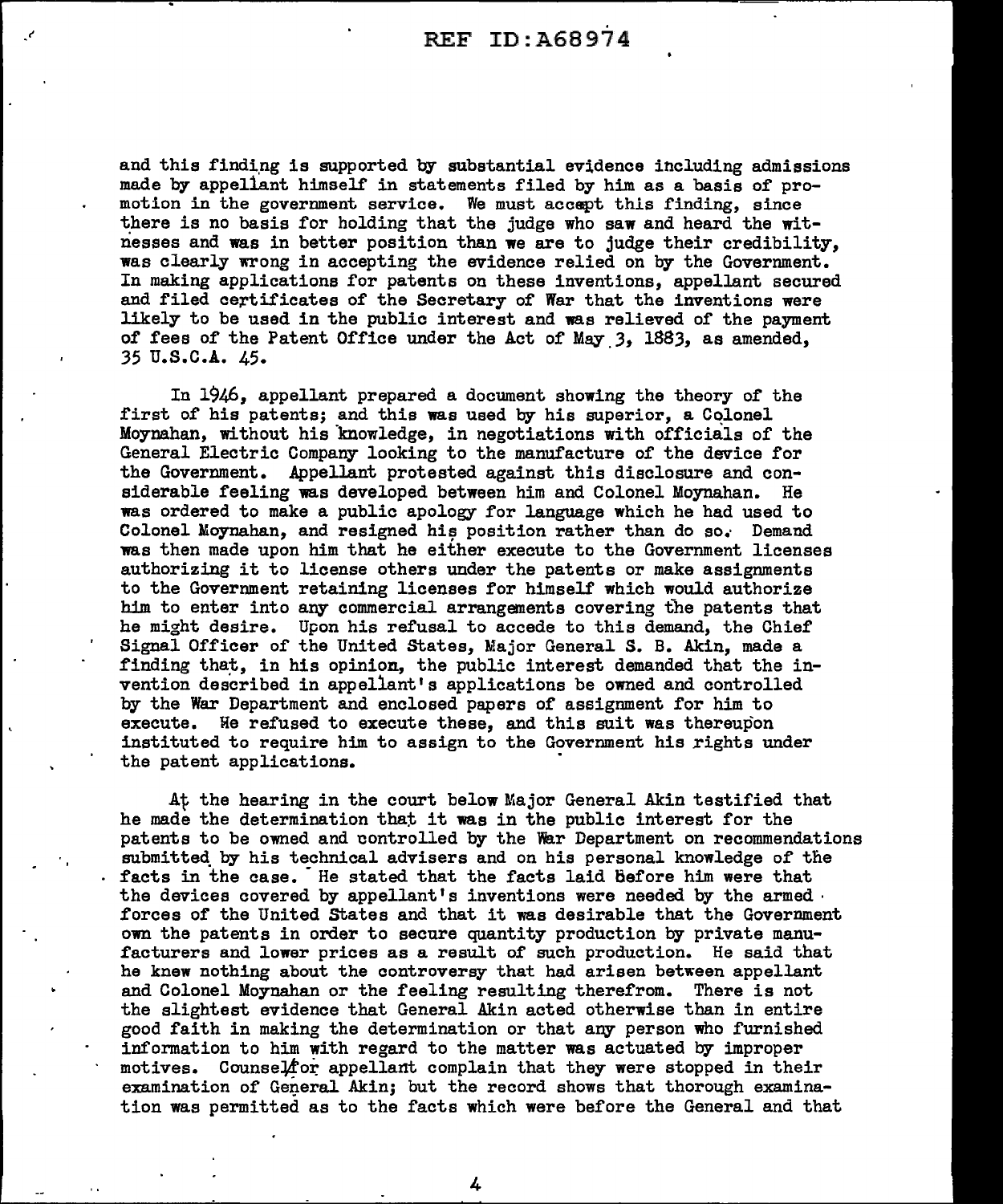and this finding is supported by substantial evidence including admissions made by appellant himself in statements filed by him as a basis of promotion in the government service. We must accept thls finding, since there is no basis for holding that the judge who saw and heard the witnesses and was in better position than we are to judge their credibility, was clearly wrong in accepting the evidence relied on by the Government. In making applications for patents on these inventions, appellant secured and filed certificates of the Secretary of War that the inventions were likely to be used in the public interest and was relieved of the payment of fees of the Patent Office under the Act of May 3, 1883, as amended, 35 u.s.c.A. 45.

In 1946, appellant prepared a document showing the theory of the first of his patents; and this was used by his superior, a Colonel Moynahan, without his knowledge, in negotiations with officials of the General Electric Company looking to the manufacture of the device for the Government. Appellant protested against this disclosure and considerable feeling was developed between him and Colonel Moynahan. He was ordered to make a public apology for language which he had used to Colonel Moynahan, and resigned his position rather than do so. Demand was then made upon him that he either execute to the Government licenses authorizing it to license others under the patents or make assignments to the Government retaining licenses for himself which would authorize him to enter into any commercial arrangements covering the patents that he might desire. Upon his refusal to accede to this demand, the Chief Signal Officer of the United states, Major General S. B. Akin, made a finding that, in his opinion, the public interest demanded that the invention described in appellant's applications be owned and controlled by the War Department and enclosed papers of assignment for him to execute. He refused to execute these, and this suit was thereupon instituted to require him to assign to the Government his rights under the patent applications.

At the hearing in the court below Major General Akin testified that he made the determination that it was in the public interest for the patents to be owned and oontrolled by the War Department on recommendations submitted by his technical advisers and on his personal knowledge of the facts in the case. He stated that the facts laid before him were that the devices covered by appellant's inventions were needed by the armed· forces of the United States and that it was desirable that the Government own the patents in order to secure quantity production by private manufacturers and lower prices as a result of such production. He said that he knew nothing about the controversy that had arisen between appellant and Colonel Moynahan or the feeling resulting therefrom. There is not the slightest evidence that General Akin acted otherwise than in entire good faith in making the determination or that any person who furnished information to him with regard to the matter was actuated by improper motives. Counsel for appellant complain that they were stopped in their examination of General Akin; but the record shows that thorough examination was permitted as to the facts which were before the General and that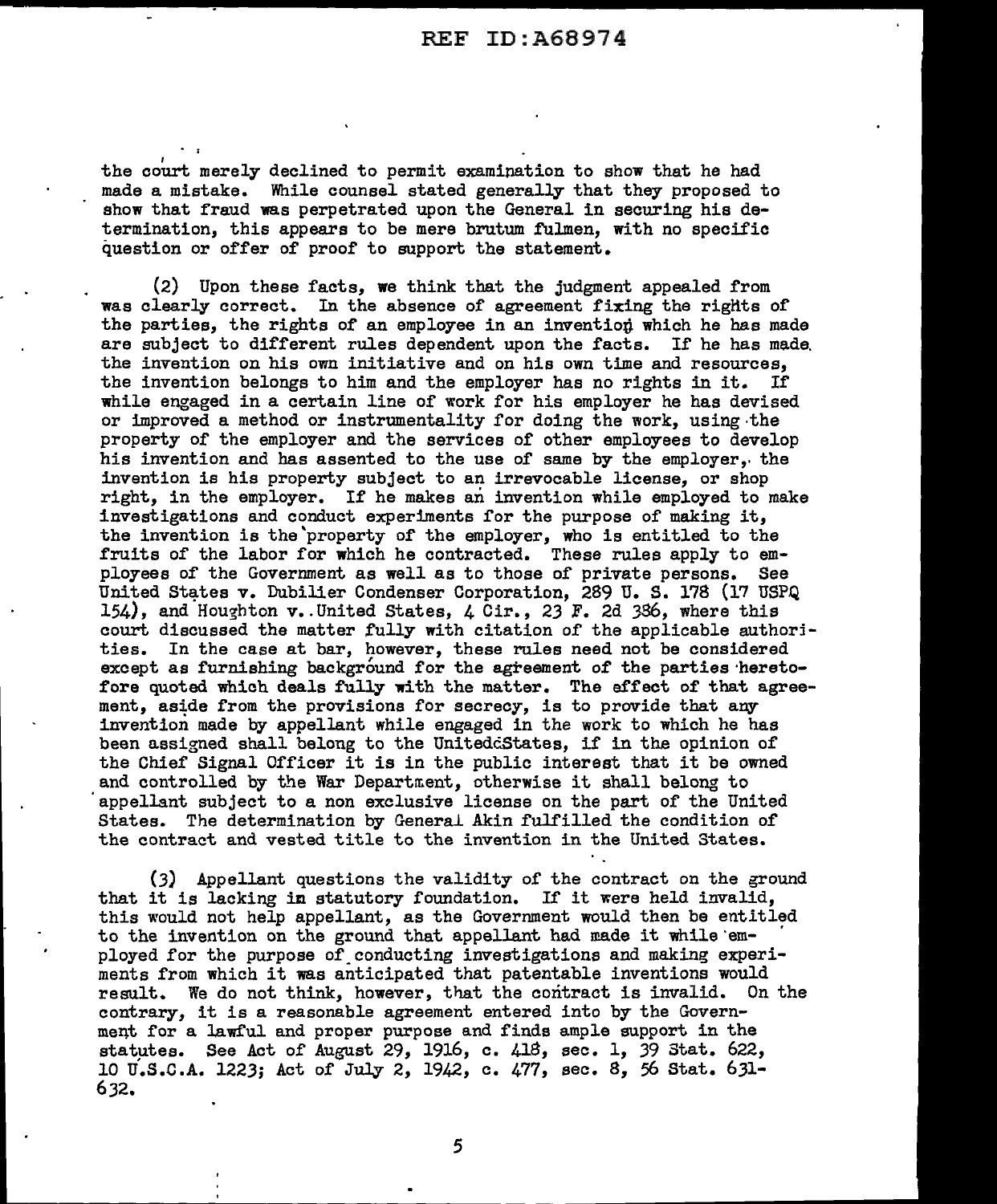$e^{\frac{2\pi i}{\hbar}}$ the court merely declined to permit examination to show that he had made a mistake. While counsel stated generally that they proposed to show that fraud was perpetrated upon the General in securing his determination, this appears to be mere brutum fulmen, with no specific question or offer of proof to support the statement.

(2) Upon these facts, we think that the judgment appealed from was clearly correct. In the absence of agreement fixing the riglits of the parties, the rights of an employee in an inventiop which he has made are subject to different rules dependent upon the facts. If he has made. the invention on his own initiative and on his own time and resources, the invention belongs to him and the employer has no rights in it. If the invention belongs to him and the employer has no rights in it. while engaged in a certain line of work for his employer he has devised or improved a method or instrumentality for doing the work, using·the property of the employer and the services of other employees to develop his invention and has assented to the use of same by the employer,. the invention is his property subject to an irrevocable license, or shop right, in the employer. If he makes an invention while employed to make investigations and conduct experiments for the purpose of making it, the invention is the'property of the employer, who is entitled to the fruits of the labor for which he contracted. These rules apply to employees of the Government as well as to those of private persons. See United States v. Dubilier Condenser Corporation, 289 U. S. 178 (17 USPQ) 154), and Houghton  $v$ . United States,  $4$  Cir., 23 F. 2d 336, where this court discussed the matter fully with citation of the applicable authorjties. In the case at bar, however, these rules need not be considered except as furnishing background for the agreement of the parties heretofore quoted which deals fully with the matter. The effect of that agreement, aside from the provisions for secrecy, is to provide that any invention made by appellant while engaged in the work to which he has been assigned shall belong to the UnitedcStates, if in the opinion of the Chief Signal Officer it is in the public interest that it be owned and controlled by the War Department, otherwise it shall belong to 'appellant subject to a non exclusive license on the part of the United States. The determination by General Akin fulfilled the condition of the contract and vested title to the invention in the United States.

(3) Appellant questions the validity of the contract on the ground that it is lacking in statutory foundation. If it were held invalid, this would not help appellant, as the Government would then be entitled to the invention on the ground that appellant had made it while em-<br>ployed for the purpose of conducting investigations and making experiments from which it was anticipated that patentable inventions would result. We do not think, however, that the contract is invalid. On the contrary, it is a reasonable agreement entered into by the Govern ment for a lawful and proper purpose and finds ample support in the statµtes. See Act of August 29, 1916, c. 418, sec. 1, 39 Stat. 622, 10 u.s.c.A. 1223; Act of July 2, 1942, c. 477, sec. 8, 56 Stat. 631- 632.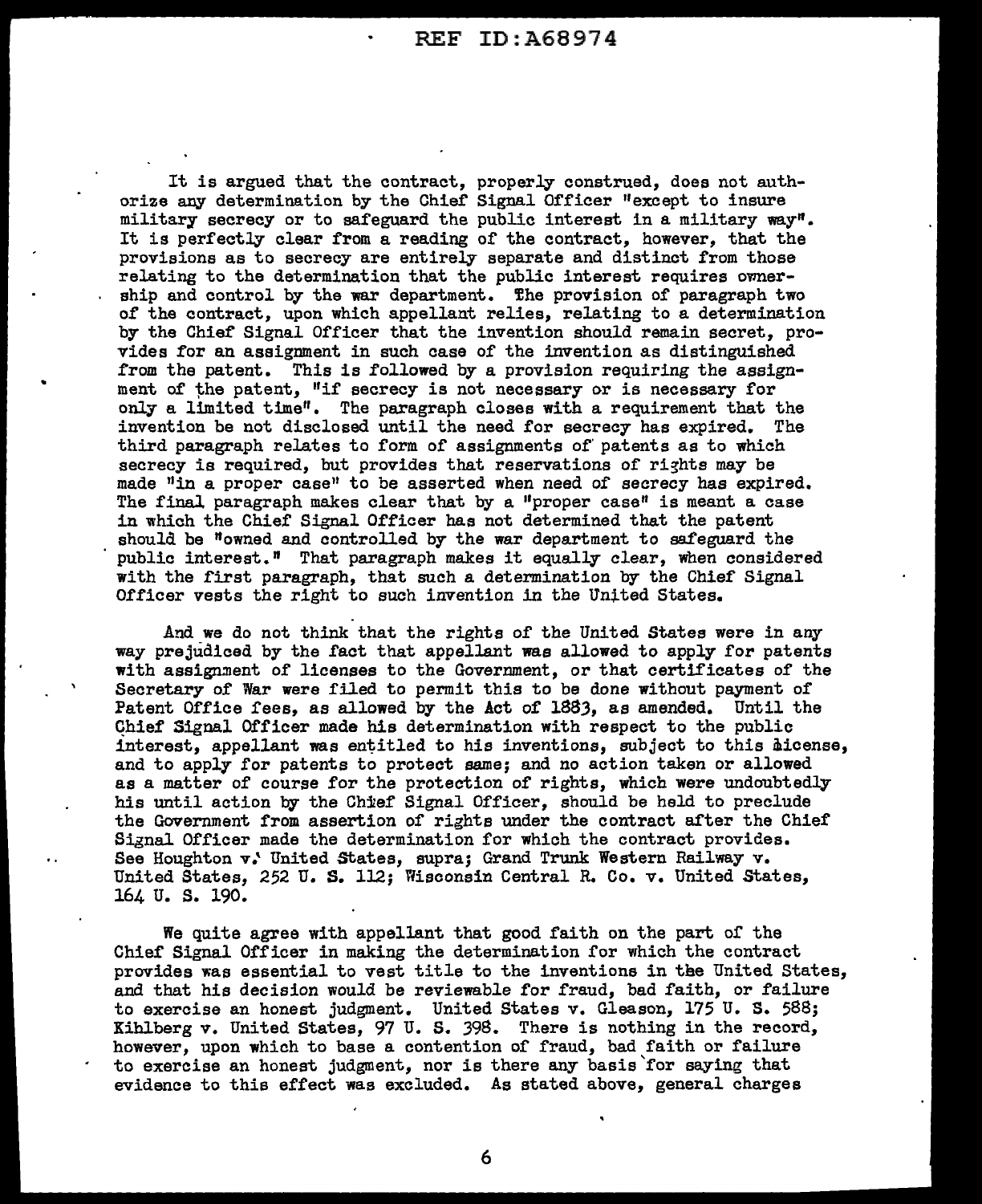It is argued that the contract, properly construed, does not authorize any determination by the Chief Signal Officer "except to insure military secrecy or to safeguard the public interest in a military way". It is perfectly clear from a reading of the contract, however, that the provisions as to secrecy are entirely separate and distinct from those relating to the determination that the public interest requires ownership and control by the war department. The provision of paragraph two of the contract, upon which appellant relies, relating to a determination by the Chief Signal Officer that the invention should remain secret, provides for an assignment in such case of the invention as distinguished from the patent. This is followed by a provision requiring the assignment of the patent. "if secrecy is not necessary or is necessary for only a limited time". The paragraph closes with a requirement that the invention be not disclosed until the need for secrecy has expired. The third paragraph relates to form of assignments of' patents as to which secrecy is required, but provides that reservations of rights may be made "in a proper case" to be asserted when need of secrecy has expired. The final paragraph makes clear that by a "proper case" is meant a case in which the Chief Signal Officer has not determined that the patent should be "owned and controlled by the war department to safeguard the public interest." That paragraph makes it equally clear, when considered with the first paragraph, that such a determination by the Chief Signal Officer vests the right to such invention in the United States.

And we do not think that the rights of the United States were in any way prejudiced by the fact that appellant was allowed to apply for patents with assignment of licenses to the Government, or that certificates of the Secretary of War were filed to permit this to be done without payment of Patent Office fees, as allowed by the Act of lBSJ, as amended. Until the Chief Signal Officer made his determination with respect to the public interest, appellant was entitled to his inventions, subject to this hicense, and to apply for patents to protect same; and no action taken or allowed as a matter of course for the protection of rights, which were undoubtedly his until action by the Chief Signal Officer, should be held to preclude the Government from assertion of rights under the contract after the Chief Signal Officer made the determination for which the contract provides. See Houghton v: United States, supra; Grand Trunk Western Railway v. United States, 252 U. S. 112; Wisconsin Central R. Co. v. United States, 164 u. s. 190.

We quite agree with appellant that good faith on the part of the Chief Signal Officer in making the determination for which the contract provides was essential to vest title to the inventions in the United States, and that his decision would be reviewable for fraud, bad faith, or failure to exercise an honest judgment. United States v. Gleason, 175 U. S. 588; Kihlberg v. United States, 97 U. S. J9S. There is nothing in the record, however, upon which to base a contention of fraud, bad faith or failure to exercise an honest judgment, nor is there any basis'for saying that evidence to this effect was excluded. As stated above, general charges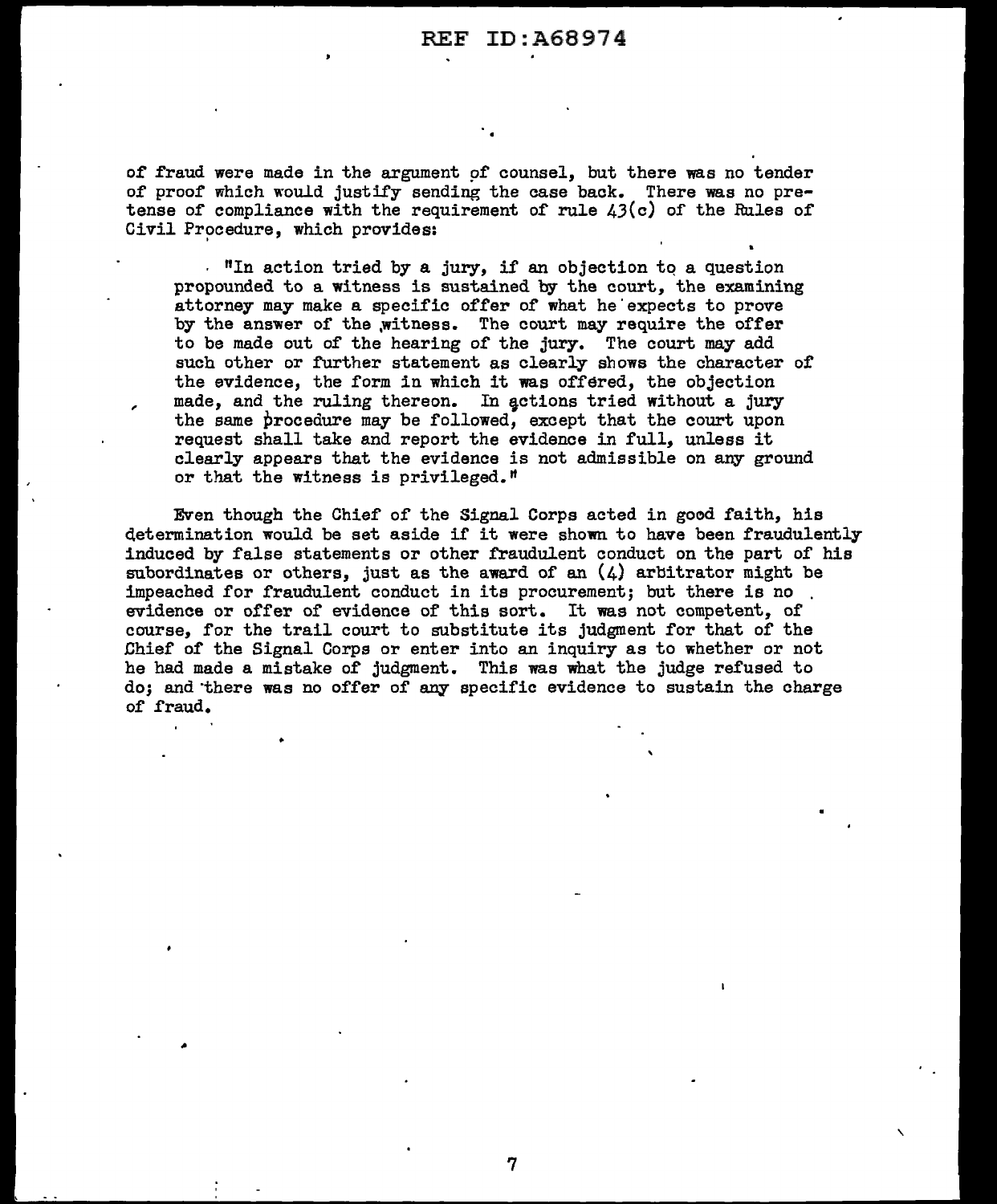of fraud were made in the argument of counsel, but there was no tender of proof which would justify sending the case back. There was no pretense of compliance with the requirement of rule  $\lambda_3(c)$  of the Rules of Civil Procedure, which provides:

. "In action tried by a jury, if an objection tq a question propounded to a witness is sustained by the court, the examining attorney may make a specific offer of what he'expects to prove by the answer of the witness. The court may require the offer to be made out of the hearing of the jury. The court may add such other or further statement as clearly shows the character of the evidence, the form in which it was offered, the objection made, and the ruling thereon. In actions tried without a jury the same procedure may be followed, except that the court upon request shall take and report the evidence in full, unless it clearly appears that the evidence is not admissible on any ground or that the witness is privileged.<sup> $n$ </sup>

,

Even though the Chief of the Signal Corps acted in good faith, his determination would be set aside if it were shown to have been fraudulently induced by false statements or other fraudulent conduct on the part of his subordinates or others, just as the award of an  $(4)$  arbitrator might be impeached for fraudulent conduct in its procurement; but there is no evidence or offer of evidence of this sort. It was not competent, of course, for the trail court to substitute its judgment for that of the Dhief of the Signal Corps or enter into an inquiry as to whether or not he had made a mistake of judgment. This was what the judge refused to do; and there was no offer of any specific evidence to sustain the charge of fraud.

'